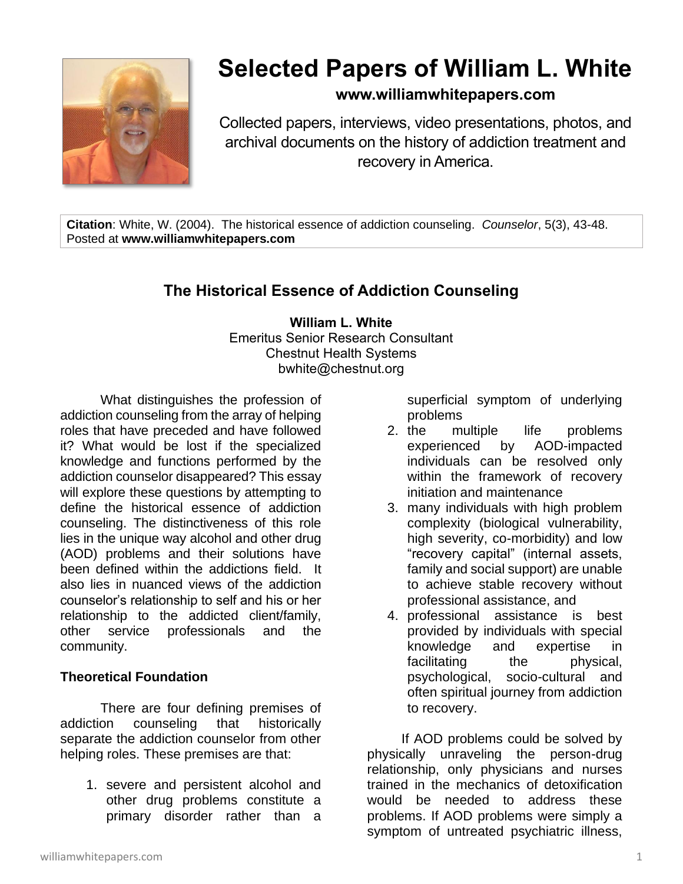

# **Selected Papers of William L. White**

# **www.williamwhitepapers.com**

Collected papers, interviews, video presentations, photos, and archival documents on the history of addiction treatment and recovery in America.

**Citation**: White, W. (2004). The historical essence of addiction counseling. *Counselor*, 5(3), 43-48. Posted at **www.williamwhitepapers.com**

# **The Historical Essence of Addiction Counseling**

#### **William L. White** Emeritus Senior Research Consultant Chestnut Health Systems bwhite@chestnut.org

What distinguishes the profession of addiction counseling from the array of helping roles that have preceded and have followed it? What would be lost if the specialized knowledge and functions performed by the addiction counselor disappeared? This essay will explore these questions by attempting to define the historical essence of addiction counseling. The distinctiveness of this role lies in the unique way alcohol and other drug (AOD) problems and their solutions have been defined within the addictions field. It also lies in nuanced views of the addiction counselor's relationship to self and his or her relationship to the addicted client/family, other service professionals and the community.

# **Theoretical Foundation**

There are four defining premises of addiction counseling that historically separate the addiction counselor from other helping roles. These premises are that:

1. severe and persistent alcohol and other drug problems constitute a primary disorder rather than a

superficial symptom of underlying problems

- 2. the multiple life problems experienced by AOD-impacted individuals can be resolved only within the framework of recovery initiation and maintenance
- 3. many individuals with high problem complexity (biological vulnerability, high severity, co-morbidity) and low "recovery capital" (internal assets, family and social support) are unable to achieve stable recovery without professional assistance, and
- 4. professional assistance is best provided by individuals with special knowledge and expertise in facilitating the physical, psychological, socio-cultural and often spiritual journey from addiction to recovery.

If AOD problems could be solved by physically unraveling the person-drug relationship, only physicians and nurses trained in the mechanics of detoxification would be needed to address these problems. If AOD problems were simply a symptom of untreated psychiatric illness,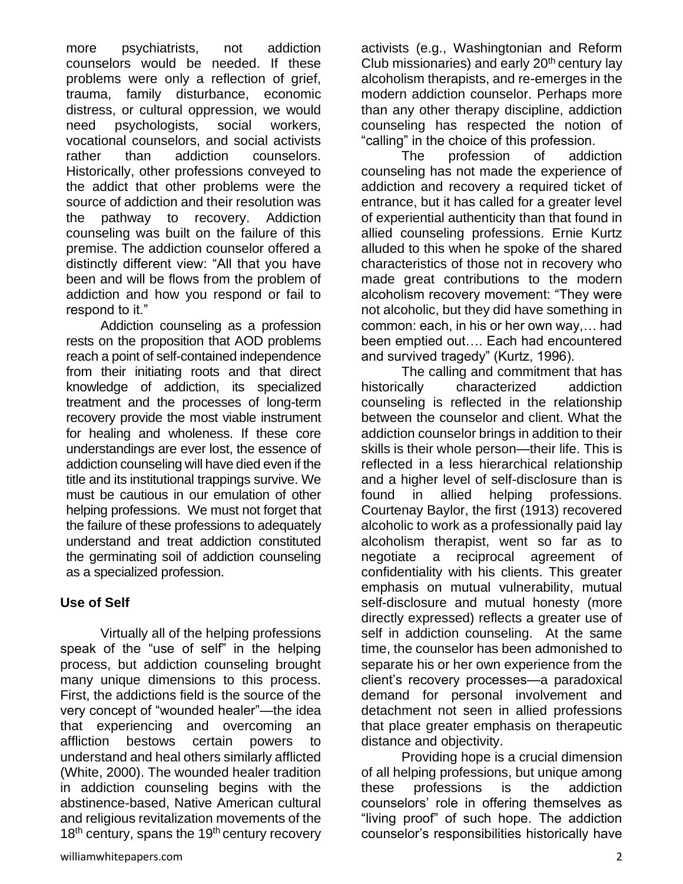more psychiatrists, not addiction counselors would be needed. If these problems were only a reflection of grief, trauma, family disturbance, economic distress, or cultural oppression, we would need psychologists, social workers, vocational counselors, and social activists rather than addiction counselors. Historically, other professions conveyed to the addict that other problems were the source of addiction and their resolution was the pathway to recovery. Addiction counseling was built on the failure of this premise. The addiction counselor offered a distinctly different view: "All that you have been and will be flows from the problem of addiction and how you respond or fail to respond to it."

Addiction counseling as a profession rests on the proposition that AOD problems reach a point of self-contained independence from their initiating roots and that direct knowledge of addiction, its specialized treatment and the processes of long-term recovery provide the most viable instrument for healing and wholeness. If these core understandings are ever lost, the essence of addiction counseling will have died even if the title and its institutional trappings survive. We must be cautious in our emulation of other helping professions. We must not forget that the failure of these professions to adequately understand and treat addiction constituted the germinating soil of addiction counseling as a specialized profession.

# **Use of Self**

Virtually all of the helping professions speak of the "use of self" in the helping process, but addiction counseling brought many unique dimensions to this process. First, the addictions field is the source of the very concept of "wounded healer"—the idea that experiencing and overcoming an affliction bestows certain powers to understand and heal others similarly afflicted (White, 2000). The wounded healer tradition in addiction counseling begins with the abstinence-based, Native American cultural and religious revitalization movements of the  $18<sup>th</sup>$  century, spans the  $19<sup>th</sup>$  century recovery

The profession of addiction counseling has not made the experience of addiction and recovery a required ticket of entrance, but it has called for a greater level of experiential authenticity than that found in allied counseling professions. Ernie Kurtz alluded to this when he spoke of the shared characteristics of those not in recovery who made great contributions to the modern alcoholism recovery movement: "They were not alcoholic, but they did have something in common: each, in his or her own way,… had been emptied out…. Each had encountered and survived tragedy" (Kurtz, 1996).

The calling and commitment that has historically characterized addiction counseling is reflected in the relationship between the counselor and client. What the addiction counselor brings in addition to their skills is their whole person—their life. This is reflected in a less hierarchical relationship and a higher level of self-disclosure than is found in allied helping professions. Courtenay Baylor, the first (1913) recovered alcoholic to work as a professionally paid lay alcoholism therapist, went so far as to negotiate a reciprocal agreement of confidentiality with his clients. This greater emphasis on mutual vulnerability, mutual self-disclosure and mutual honesty (more directly expressed) reflects a greater use of self in addiction counseling. At the same time, the counselor has been admonished to separate his or her own experience from the client's recovery processes—a paradoxical demand for personal involvement and detachment not seen in allied professions that place greater emphasis on therapeutic distance and objectivity.

Providing hope is a crucial dimension of all helping professions, but unique among these professions is the addiction counselors' role in offering themselves as "living proof" of such hope. The addiction counselor's responsibilities historically have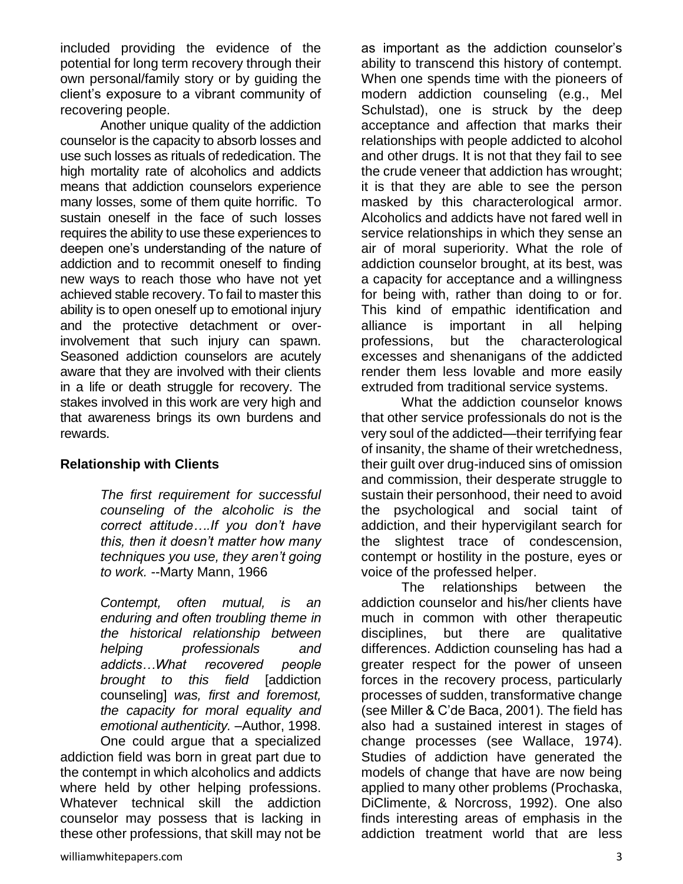included providing the evidence of the potential for long term recovery through their own personal/family story or by guiding the client's exposure to a vibrant community of recovering people.

Another unique quality of the addiction counselor is the capacity to absorb losses and use such losses as rituals of rededication. The high mortality rate of alcoholics and addicts means that addiction counselors experience many losses, some of them quite horrific. To sustain oneself in the face of such losses requires the ability to use these experiences to deepen one's understanding of the nature of addiction and to recommit oneself to finding new ways to reach those who have not yet achieved stable recovery. To fail to master this ability is to open oneself up to emotional injury and the protective detachment or overinvolvement that such injury can spawn. Seasoned addiction counselors are acutely aware that they are involved with their clients in a life or death struggle for recovery. The stakes involved in this work are very high and that awareness brings its own burdens and rewards.

#### **Relationship with Clients**

*The first requirement for successful counseling of the alcoholic is the correct attitude….If you don't have this, then it doesn't matter how many techniques you use, they aren't going to work.* --Marty Mann, 1966

*Contempt, often mutual, is an enduring and often troubling theme in the historical relationship between helping professionals and addicts…What recovered people brought to this field* [addiction counseling] *was, first and foremost, the capacity for moral equality and emotional authenticity.* –Author, 1998.

One could argue that a specialized addiction field was born in great part due to the contempt in which alcoholics and addicts where held by other helping professions. Whatever technical skill the addiction counselor may possess that is lacking in these other professions, that skill may not be

as important as the addiction counselor's ability to transcend this history of contempt. When one spends time with the pioneers of modern addiction counseling (e.g., Mel Schulstad), one is struck by the deep acceptance and affection that marks their relationships with people addicted to alcohol and other drugs. It is not that they fail to see the crude veneer that addiction has wrought; it is that they are able to see the person masked by this characterological armor. Alcoholics and addicts have not fared well in service relationships in which they sense an air of moral superiority. What the role of addiction counselor brought, at its best, was a capacity for acceptance and a willingness for being with, rather than doing to or for. This kind of empathic identification and alliance is important in all helping professions, but the characterological excesses and shenanigans of the addicted render them less lovable and more easily extruded from traditional service systems.

What the addiction counselor knows that other service professionals do not is the very soul of the addicted—their terrifying fear of insanity, the shame of their wretchedness, their guilt over drug-induced sins of omission and commission, their desperate struggle to sustain their personhood, their need to avoid the psychological and social taint of addiction, and their hypervigilant search for the slightest trace of condescension, contempt or hostility in the posture, eyes or voice of the professed helper.

The relationships between the addiction counselor and his/her clients have much in common with other therapeutic disciplines, but there are qualitative differences. Addiction counseling has had a greater respect for the power of unseen forces in the recovery process, particularly processes of sudden, transformative change (see Miller & C'de Baca, 2001). The field has also had a sustained interest in stages of change processes (see Wallace, 1974). Studies of addiction have generated the models of change that have are now being applied to many other problems (Prochaska, DiClimente, & Norcross, 1992). One also finds interesting areas of emphasis in the addiction treatment world that are less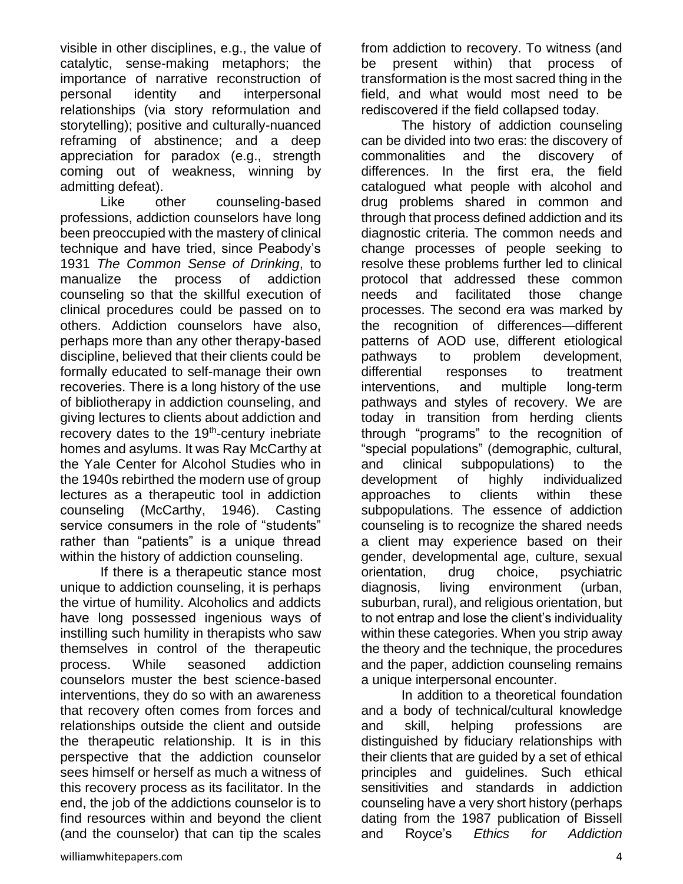visible in other disciplines, e.g., the value of catalytic, sense-making metaphors; the importance of narrative reconstruction of personal identity and interpersonal relationships (via story reformulation and storytelling); positive and culturally-nuanced reframing of abstinence; and a deep appreciation for paradox (e.g., strength coming out of weakness, winning by admitting defeat).

Like other counseling-based professions, addiction counselors have long been preoccupied with the mastery of clinical technique and have tried, since Peabody's 1931 *The Common Sense of Drinking*, to manualize the process of addiction counseling so that the skillful execution of clinical procedures could be passed on to others. Addiction counselors have also, perhaps more than any other therapy-based discipline, believed that their clients could be formally educated to self-manage their own recoveries. There is a long history of the use of bibliotherapy in addiction counseling, and giving lectures to clients about addiction and recovery dates to the 19<sup>th</sup>-century inebriate homes and asylums. It was Ray McCarthy at the Yale Center for Alcohol Studies who in the 1940s rebirthed the modern use of group lectures as a therapeutic tool in addiction counseling (McCarthy, 1946). Casting service consumers in the role of "students" rather than "patients" is a unique thread within the history of addiction counseling.

If there is a therapeutic stance most unique to addiction counseling, it is perhaps the virtue of humility. Alcoholics and addicts have long possessed ingenious ways of instilling such humility in therapists who saw themselves in control of the therapeutic process. While seasoned addiction counselors muster the best science-based interventions, they do so with an awareness that recovery often comes from forces and relationships outside the client and outside the therapeutic relationship. It is in this perspective that the addiction counselor sees himself or herself as much a witness of this recovery process as its facilitator. In the end, the job of the addictions counselor is to find resources within and beyond the client (and the counselor) that can tip the scales

from addiction to recovery. To witness (and be present within) that process of transformation is the most sacred thing in the field, and what would most need to be rediscovered if the field collapsed today.

The history of addiction counseling can be divided into two eras: the discovery of commonalities and the discovery of differences. In the first era, the field catalogued what people with alcohol and drug problems shared in common and through that process defined addiction and its diagnostic criteria. The common needs and change processes of people seeking to resolve these problems further led to clinical protocol that addressed these common needs and facilitated those change processes. The second era was marked by the recognition of differences—different patterns of AOD use, different etiological pathways to problem development, differential responses to treatment interventions, and multiple long-term pathways and styles of recovery. We are today in transition from herding clients through "programs" to the recognition of "special populations" (demographic, cultural, and clinical subpopulations) to the development of highly individualized approaches to clients within these subpopulations. The essence of addiction counseling is to recognize the shared needs a client may experience based on their gender, developmental age, culture, sexual orientation, drug choice, psychiatric diagnosis, living environment (urban, suburban, rural), and religious orientation, but to not entrap and lose the client's individuality within these categories. When you strip away the theory and the technique, the procedures and the paper, addiction counseling remains a unique interpersonal encounter.

In addition to a theoretical foundation and a body of technical/cultural knowledge and skill, helping professions are distinguished by fiduciary relationships with their clients that are guided by a set of ethical principles and guidelines. Such ethical sensitivities and standards in addiction counseling have a very short history (perhaps dating from the 1987 publication of Bissell and Royce's *Ethics for Addiction*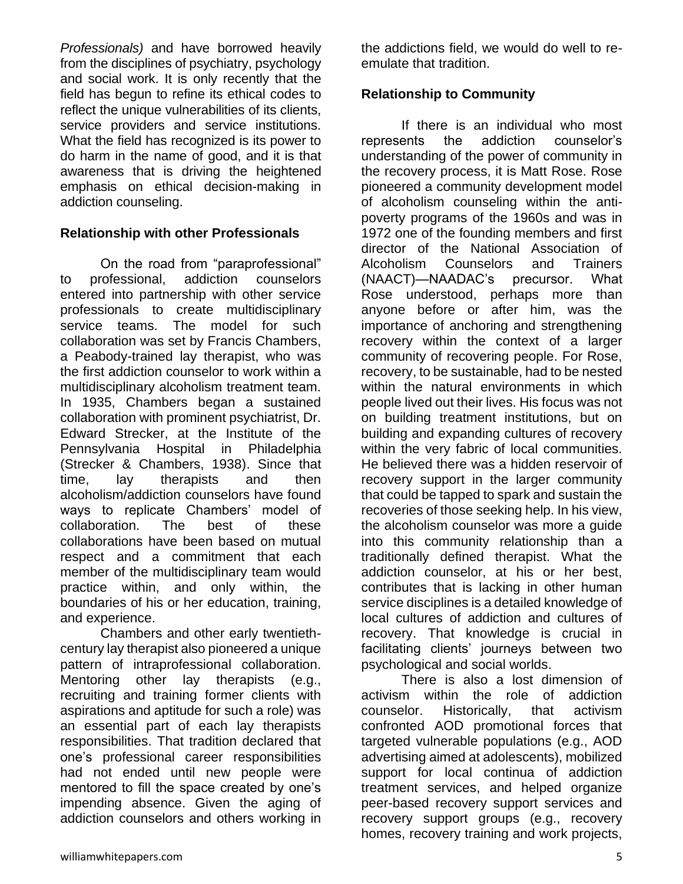*Professionals)* and have borrowed heavily from the disciplines of psychiatry, psychology and social work. It is only recently that the field has begun to refine its ethical codes to reflect the unique vulnerabilities of its clients, service providers and service institutions. What the field has recognized is its power to do harm in the name of good, and it is that awareness that is driving the heightened emphasis on ethical decision-making in addiction counseling.

#### **Relationship with other Professionals**

On the road from "paraprofessional" to professional, addiction counselors entered into partnership with other service professionals to create multidisciplinary service teams. The model for such collaboration was set by Francis Chambers, a Peabody-trained lay therapist, who was the first addiction counselor to work within a multidisciplinary alcoholism treatment team. In 1935, Chambers began a sustained collaboration with prominent psychiatrist, Dr. Edward Strecker, at the Institute of the Pennsylvania Hospital in Philadelphia (Strecker & Chambers, 1938). Since that time, lay therapists and then alcoholism/addiction counselors have found ways to replicate Chambers' model of collaboration. The best of these collaborations have been based on mutual respect and a commitment that each member of the multidisciplinary team would practice within, and only within, the boundaries of his or her education, training, and experience.

Chambers and other early twentiethcentury lay therapist also pioneered a unique pattern of intraprofessional collaboration. Mentoring other lay therapists (e.g., recruiting and training former clients with aspirations and aptitude for such a role) was an essential part of each lay therapists responsibilities. That tradition declared that one's professional career responsibilities had not ended until new people were mentored to fill the space created by one's impending absence. Given the aging of addiction counselors and others working in

the addictions field, we would do well to reemulate that tradition.

### **Relationship to Community**

If there is an individual who most represents the addiction counselor's understanding of the power of community in the recovery process, it is Matt Rose. Rose pioneered a community development model of alcoholism counseling within the antipoverty programs of the 1960s and was in 1972 one of the founding members and first director of the National Association of Alcoholism Counselors and Trainers (NAACT)—NAADAC's precursor. What Rose understood, perhaps more than anyone before or after him, was the importance of anchoring and strengthening recovery within the context of a larger community of recovering people. For Rose, recovery, to be sustainable, had to be nested within the natural environments in which people lived out their lives. His focus was not on building treatment institutions, but on building and expanding cultures of recovery within the very fabric of local communities. He believed there was a hidden reservoir of recovery support in the larger community that could be tapped to spark and sustain the recoveries of those seeking help. In his view, the alcoholism counselor was more a guide into this community relationship than a traditionally defined therapist. What the addiction counselor, at his or her best, contributes that is lacking in other human service disciplines is a detailed knowledge of local cultures of addiction and cultures of recovery. That knowledge is crucial in facilitating clients' journeys between two psychological and social worlds.

There is also a lost dimension of activism within the role of addiction counselor. Historically, that activism confronted AOD promotional forces that targeted vulnerable populations (e.g., AOD advertising aimed at adolescents), mobilized support for local continua of addiction treatment services, and helped organize peer-based recovery support services and recovery support groups (e.g., recovery homes, recovery training and work projects,